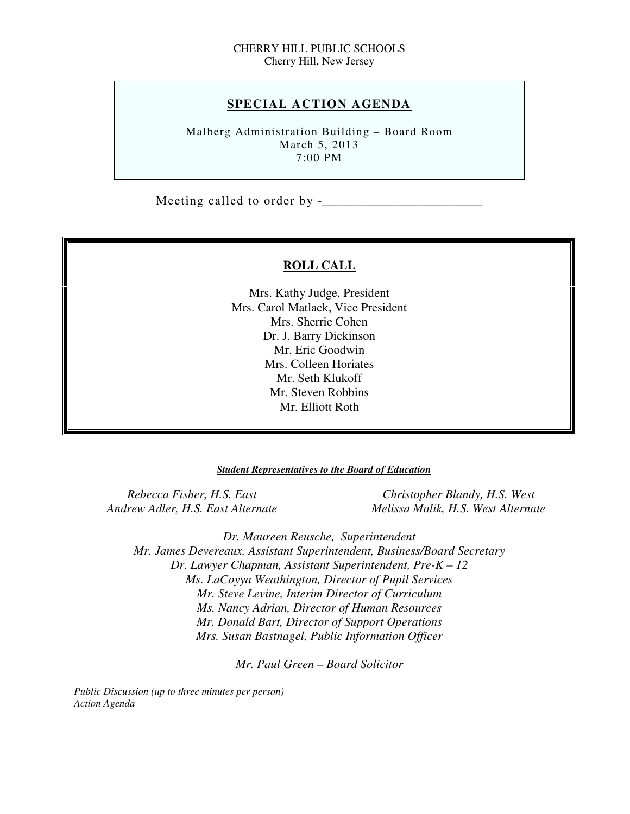# **SPECIAL ACTION AGENDA**

 Malberg Administration Building – Board Room March 5, 2013 7:00 PM

Meeting called to order by -\_\_\_\_\_\_\_\_\_\_\_\_\_\_\_\_\_\_\_\_\_\_\_\_\_\_

# **ROLL CALL**

 Mrs. Kathy Judge, President Mrs. Carol Matlack, Vice President Mrs. Sherrie Cohen Dr. J. Barry Dickinson Mr. Eric Goodwin Mrs. Colleen Horiates Mr. Seth Klukoff Mr. Steven Robbins Mr. Elliott Roth

#### *Student Representatives to the Board of Education*

**Rebecca Fisher, H.S. East Andrew Adler, H.S. East Alternate** 

*Christopher Blandy, H.S. West Andrew Adler, H.S. East Alternate Melissa Malik, H.S. West Alternate* 

 *Dr. Maureen Reusche, Superintendent Mr. James Devereaux, Assistant Superintendent, Business/Board Secretary Dr. Lawyer Chapman, Assistant Superintendent, Pre-K – 12 Ms. LaCoyya Weathington, Director of Pupil Services Mr. Steve Levine, Interim Director of Curriculum Mr. Donald Bart, Director of Support Operations Mrs. Susan Bastnagel, Public Information Officer Ms. Nancy Adrian, Director of Human Resources* 

 *Mr. Paul Green – Board Solicitor* 

 *Public Discussion (up to three minutes per person) Action Agenda*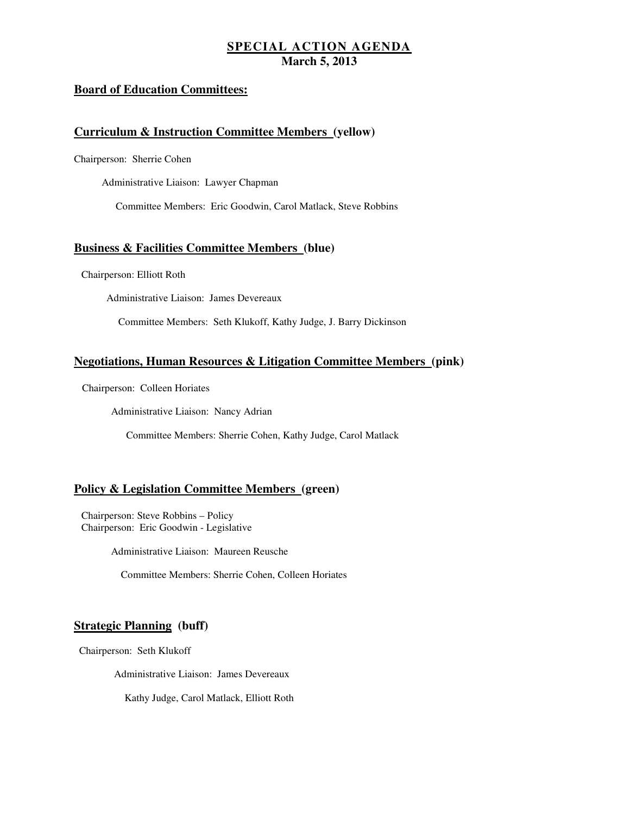# **SPECIAL ACTION AGENDA March 5, 2013**

# **Board of Education Committees:**

### **Curriculum & Instruction Committee Members (yellow)**

Chairperson: Sherrie Cohen

Administrative Liaison: Lawyer Chapman

Committee Members: Eric Goodwin, Carol Matlack, Steve Robbins

### **Business & Facilities Committee Members (blue)**

Chairperson: Elliott Roth

Administrative Liaison: James Devereaux

Committee Members: Seth Klukoff, Kathy Judge, J. Barry Dickinson

### **Negotiations, Human Resources & Litigation Committee Members (pink)**

Chairperson: Colleen Horiates

Administrative Liaison: Nancy Adrian

Committee Members: Sherrie Cohen, Kathy Judge, Carol Matlack

### **Policy & Legislation Committee Members (green)**

 Chairperson: Steve Robbins – Policy Chairperson: Eric Goodwin - Legislative

Administrative Liaison: Maureen Reusche

Committee Members: Sherrie Cohen, Colleen Horiates

### **Strategic Planning (buff)**

Chairperson: Seth Klukoff

Administrative Liaison: James Devereaux

Kathy Judge, Carol Matlack, Elliott Roth